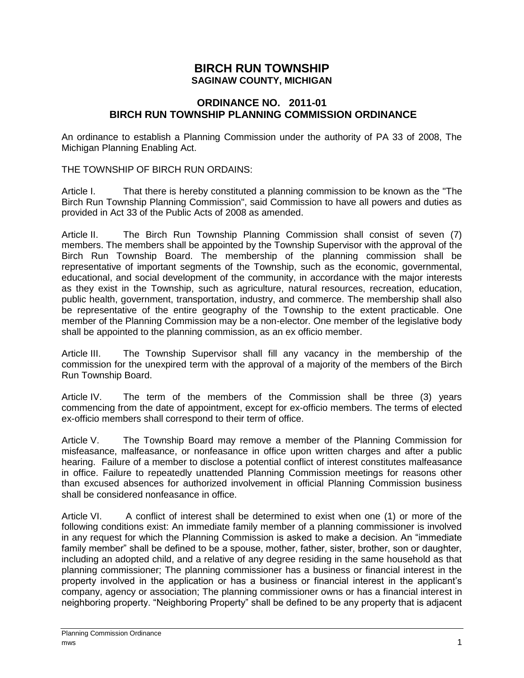## **BIRCH RUN TOWNSHIP SAGINAW COUNTY, MICHIGAN**

## **ORDINANCE NO. 2011-01 BIRCH RUN TOWNSHIP PLANNING COMMISSION ORDINANCE**

An ordinance to establish a Planning Commission under the authority of PA 33 of 2008, The Michigan Planning Enabling Act.

THE TOWNSHIP OF BIRCH RUN ORDAINS:

Article I. That there is hereby constituted a planning commission to be known as the "The Birch Run Township Planning Commission", said Commission to have all powers and duties as provided in Act 33 of the Public Acts of 2008 as amended.

Article II. The Birch Run Township Planning Commission shall consist of seven (7) members. The members shall be appointed by the Township Supervisor with the approval of the Birch Run Township Board. The membership of the planning commission shall be representative of important segments of the Township, such as the economic, governmental, educational, and social development of the community, in accordance with the major interests as they exist in the Township, such as agriculture, natural resources, recreation, education, public health, government, transportation, industry, and commerce. The membership shall also be representative of the entire geography of the Township to the extent practicable. One member of the Planning Commission may be a non-elector. One member of the legislative body shall be appointed to the planning commission, as an ex officio member.

Article III. The Township Supervisor shall fill any vacancy in the membership of the commission for the unexpired term with the approval of a majority of the members of the Birch Run Township Board.

Article IV. The term of the members of the Commission shall be three (3) years commencing from the date of appointment, except for ex-officio members. The terms of elected ex-officio members shall correspond to their term of office.

Article V. The Township Board may remove a member of the Planning Commission for misfeasance, malfeasance, or nonfeasance in office upon written charges and after a public hearing. Failure of a member to disclose a potential conflict of interest constitutes malfeasance in office. Failure to repeatedly unattended Planning Commission meetings for reasons other than excused absences for authorized involvement in official Planning Commission business shall be considered nonfeasance in office.

Article VI. A conflict of interest shall be determined to exist when one (1) or more of the following conditions exist: An immediate family member of a planning commissioner is involved in any request for which the Planning Commission is asked to make a decision. An "immediate family member" shall be defined to be a spouse, mother, father, sister, brother, son or daughter, including an adopted child, and a relative of any degree residing in the same household as that planning commissioner; The planning commissioner has a business or financial interest in the property involved in the application or has a business or financial interest in the applicant's company, agency or association; The planning commissioner owns or has a financial interest in neighboring property. "Neighboring Property" shall be defined to be any property that is adjacent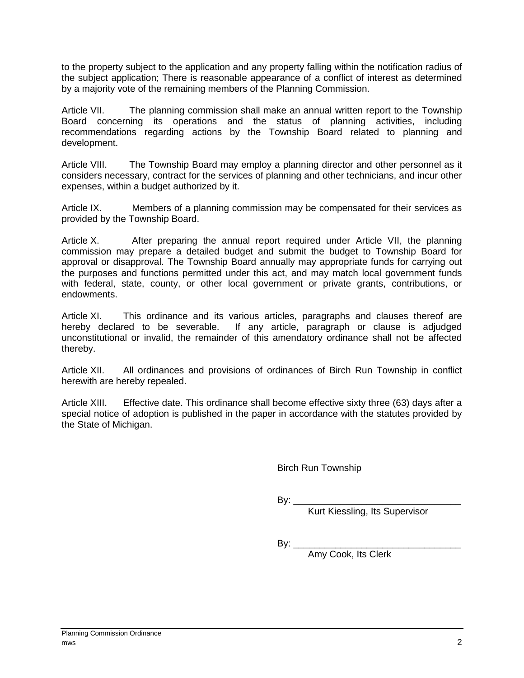to the property subject to the application and any property falling within the notification radius of the subject application; There is reasonable appearance of a conflict of interest as determined by a majority vote of the remaining members of the Planning Commission.

Article VII. The planning commission shall make an annual written report to the Township Board concerning its operations and the status of planning activities, including recommendations regarding actions by the Township Board related to planning and development.

Article VIII. The Township Board may employ a planning director and other personnel as it considers necessary, contract for the services of planning and other technicians, and incur other expenses, within a budget authorized by it.

Article IX. Members of a planning commission may be compensated for their services as provided by the Township Board.

Article X. After preparing the annual report required under Article VII, the planning commission may prepare a detailed budget and submit the budget to Township Board for approval or disapproval. The Township Board annually may appropriate funds for carrying out the purposes and functions permitted under this act, and may match local government funds with federal, state, county, or other local government or private grants, contributions, or endowments.

Article XI. This ordinance and its various articles, paragraphs and clauses thereof are hereby declared to be severable. If any article, paragraph or clause is adjudged unconstitutional or invalid, the remainder of this amendatory ordinance shall not be affected thereby.

Article XII. All ordinances and provisions of ordinances of Birch Run Township in conflict herewith are hereby repealed.

Article XIII. Effective date. This ordinance shall become effective sixty three (63) days after a special notice of adoption is published in the paper in accordance with the statutes provided by the State of Michigan.

Birch Run Township

By: \_\_\_\_\_\_\_\_\_\_\_\_\_\_\_\_\_\_\_\_\_\_\_\_\_\_\_\_\_\_\_\_

Kurt Kiessling, Its Supervisor

By:  $\_$ 

Amy Cook, Its Clerk